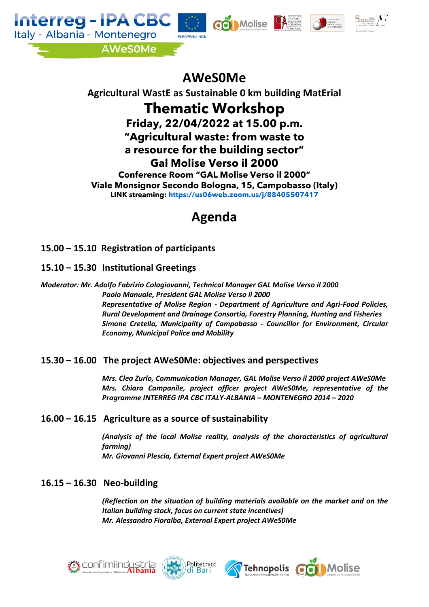







# **AWeS0Me**

# **Agricultural WastE as Sustainable 0 km building MatErial Thematic Workshop Friday, 22/04/2022 at 15.00 p.m. "Agricultural waste: from waste to a resource for the building sector" Gal Molise Verso il 2000 Conference Room "GAL Molise Verso il 2000" Viale Monsignor Secondo Bologna, 15, Campobasso (Italy) LINK streaming:<https://us06web.zoom.us/j/88405507417>**

# **Agenda**

**15.00 – 15.10 Registration of participants**

**15.10 – 15.30 Institutional Greetings**

*Moderator: Mr. Adolfo Fabrizio Colagiovanni, Technical Manager GAL Molise Verso il 2000 Paolo Manuale, President GAL Molise Verso il 2000 Representative of Molise Region - Department of Agriculture and Agri-Food Policies, Rural Development and Drainage Consortia, Forestry Planning, Hunting and Fisheries Simone Cretella, Municipality of Campobasso - Councillor for Environment, Circular Economy, Municipal Police and Mobility* 

## **15.30 – 16.00 The project AWeS0Me: objectives and perspectives**

*Mrs. Clea Zurlo, Communication Manager, GAL Molise Verso il 2000 project AWeS0Me Mrs. Chiara Campanile, project officer project AWeS0Me, representative of the Programme INTERREG IPA CBC ITALY-ALBANIA – MONTENEGRO 2014 – 2020* 

## **16.00 – 16.15 Agriculture as a source of sustainability**

*(Analysis of the local Molise reality, analysis of the characteristics of agricultural farming) Mr. Giovanni Plescia, External Expert project AWeS0Me*

# **16.15 – 16.30 Neo-building**

*(Reflection on the situation of building materials available on the market and on the Italian building stock, focus on current state incentives) Mr. Alessandro Fioralba, External Expert project AWeS0Me*